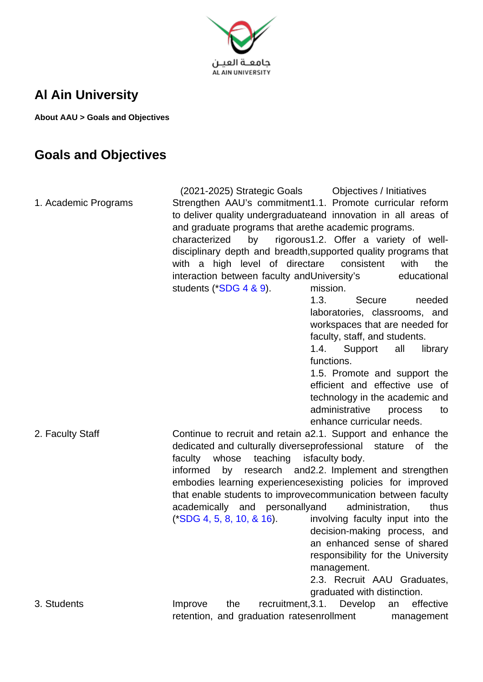

## **Al Ain University**

**About AAU > Goals and Objectives**

## **Goals and Objectives**

(2021-2025) Strategic Goals Objectives / Initiatives 1. Academic Programs Strengthen AAU's commitment 1.1. Promote curricular reform to deliver quality undergraduate and innovation in all areas of and graduate programs that are the academic programs. characterized by disciplinary depth and breadth, supported quality programs that with a high level of directare interaction between faculty and University's educational students (\*SDG 4 & 9). rigorous1.2. Offer a variety of wellconsistent with the mission. 1.3. Secure needed laboratories, classrooms, and workspaces that are needed for faculty, staff, and students. 1.4. Support all library functions. 1.5. Promote and support the efficient and effective use of technology in the academic and administrative process to enhance curricular needs. 2. Faculty Staff **Continue to recruit and retain a2.1.** Support and enhance the dedicated and culturally diverse professional stature of the faculty whose teaching informed by research and 2.2. Implement and strengthen embodies learning experiences existing policies for improved that enable students to improve communication between faculty academically and personally (\*SDG 4, 5, 8, 10, & 16). isfaculty body. administration, thus involving faculty input into the decision-making process, and an enhanced sense of shared responsibility for the University management. 2.3. Recruit AAU Graduates, graduated with distinction. 3. Students **Improve** the recruitment, 3.1. retention, and graduation ratesenrollment Develop an effective management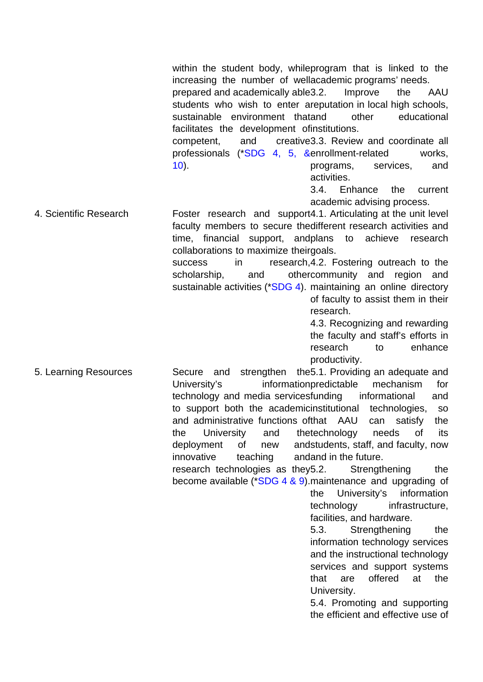within the student body, while program that is linked to the increasing the number of well academic programs' needs. prepared and academically able students who wish to enter areputation in local high schools, sustainable environment thatand facilitates the development of institutions. competent, and professionals (\*SDG 4, 5, &enrollment-related works, 10). Improve the AAU other educational creative 3.3. Review and coordinate all programs, services, and activities. 3.4. Enhance the current academic advising process. 4. Scientific Research **Foster** research and support4.1. Articulating at the unit level faculty members to secure the different research activities and time, financial support, and plans to achieve research collaborations to maximize their goals. success in research, 4.2. Fostering outreach to the scholarship, and sustainable activities (\*SDG 4). maintaining an online directory othercommunity and region and of faculty to assist them in their research. 4.3. Recognizing and rewarding the faculty and staff's efforts in research to enhance productivity. 5. Learning Resources **Secure** and strengthen the 5.1. Providing an adequate and University's information predictable technology and media servicesfunding to support both the academicinstitutional and administrative functions of that AAU can satisfy the the University and deployment of new innovative teaching research technologies as they 5.2. become available (\*SDG 4 & 9).maintenance and upgrading of mechanism for informational and technologies, so thetechnology needs of its andstudents, staff, and faculty, now and and in the future. Strengthening the the University's information technology infrastructure, facilities, and hardware. 5.3. Strengthening the information technology services and the instructional technology services and support systems that are offered at the University. 5.4. Promoting and supporting the efficient and effective use of